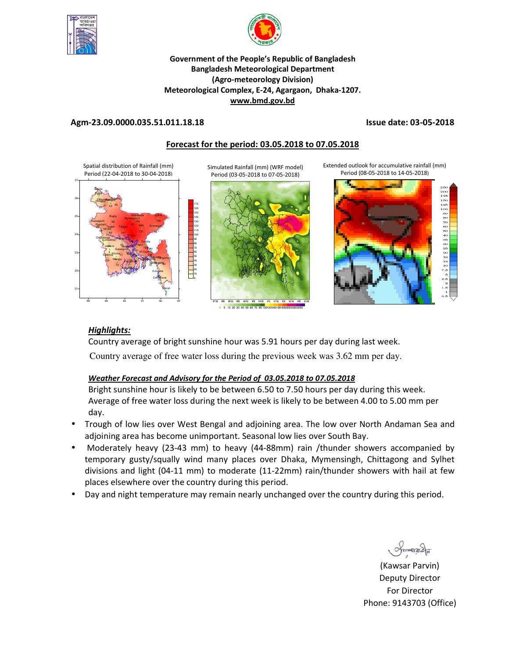



## **Government of the People's Republic of Bangladesh Bangladesh Meteorological Department (Agro-meteorology Division) Meteorological Complex, E-24, Agargaon, Dhaka-1207. www.bmd.gov.bd**

## **Agm-23.09.0000.035.51.011.18.18 Issue date: 03-05-2018**

# **Forecast for the period: 03.05.2018 to 07.05.2018**

Spatial distribution of Rainfall (mm) Period (22-04-2018 to 30-04-2018)



Simulated Rainfall (mm) (WRF model) Period (03-05-2018 to 07-05-2018)





Extended outlook for accumulative rainfall (mm) Period (08-05-2018 to 14-05-2018)



# *Highlights:*

Country average of bright sunshine hour was 5.91 hours per day during last week. Country average of free water loss during the previous week was 3.62 mm per day.

# *Weather Forecast and Advisory for the Period of 03.05.2018 to 07.05.2018*

Bright sunshine hour is likely to be between 6.50 to 7.50 hours per day during this week. Average of free water loss during the next week is likely to be between 4.00 to 5.00 mm per day.

- Trough of low lies over West Bengal and adjoining area. The low over North Andaman Sea and adjoining area has become unimportant. Seasonal low lies over South Bay.
- Moderately heavy (23-43 mm) to heavy (44-88mm) rain /thunder showers accompanied by temporary gusty/squally wind many places over Dhaka, Mymensingh, Chittagong and Sylhet divisions and light (04-11 mm) to moderate (11-22mm) rain/thunder showers with hail at few places elsewhere over the country during this period.
- Day and night temperature may remain nearly unchanged over the country during this period.

 $max_{\mathcal{A}}$ 

(Kawsar Parvin) Deputy Director For Director Phone: 9143703 (Office)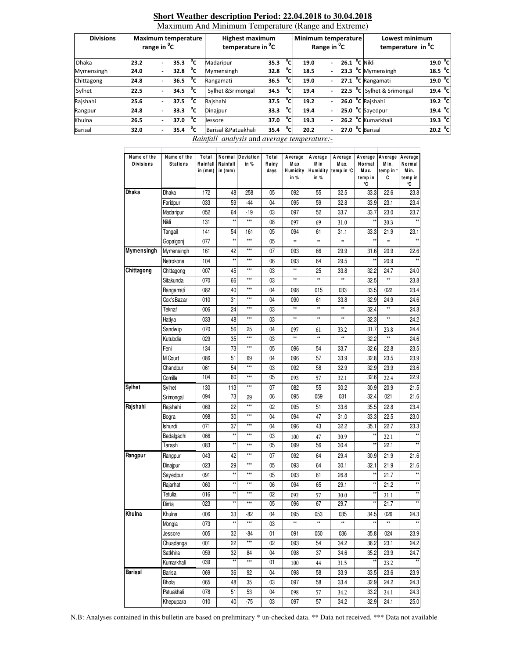| <b>Divisions</b> | <b>Maximum temperature</b><br>range in <sup>o</sup> C |                          |                           |    | <b>Highest maximum</b><br>temperature in <sup>o</sup> C |      |                | Minimum temperature<br>Range in <sup>o</sup> C |                          |  |  | Lowest minimum<br>temperature in <sup>o</sup> C |                   |  |
|------------------|-------------------------------------------------------|--------------------------|---------------------------|----|---------------------------------------------------------|------|----------------|------------------------------------------------|--------------------------|--|--|-------------------------------------------------|-------------------|--|
| <b>Dhaka</b>     | 23.2                                                  |                          | 35.3                      | °c | Madaripur                                               | 35.3 | °c.            | 19.0                                           |                          |  |  | 26.1 $^{\circ}$ C Nikli                         | 19.0 °C           |  |
| Mymensingh       | 24.0                                                  | $\overline{\phantom{0}}$ | 32.8                      | °c | Mymensingh                                              | 32.8 | $^{\circ}$ c   | 18.5                                           |                          |  |  | 23.3 °C Mymensingh                              | 18.5 $^{\circ}$ C |  |
| Chittagong       | 24.8                                                  | ۰.                       | 36.5 $\degree$ C          |    | Rangamati                                               | 36.5 | °c.            | 19.0                                           | $\overline{\phantom{0}}$ |  |  | $\overline{27.1}$ °C Rangamati                  | 19.0 °C           |  |
| Sylhet           | 22.5                                                  |                          | 34.5 $\overline{C}$       |    | Sylhet & Srimongal                                      | 34.5 | $^{\circ}$ c.  | 19.4                                           |                          |  |  | 22.5 °C Sylhet & Srimongal                      | $19.4\text{ °C}$  |  |
| Rajshahi         | 25.6                                                  | $\overline{\phantom{0}}$ | 37.5 $\mathrm{^{\circ}C}$ |    | Raishahi                                                | 37.5 | $\overline{c}$ | 19.2                                           |                          |  |  | 26.0 °C Rajshahi                                | 19.2 $^{\circ}$ C |  |
| Rangpur          | 24.8                                                  | $\overline{\phantom{0}}$ | 33.3                      | °c | Dinajpur                                                | 33.3 | °c             | 19.4                                           |                          |  |  | $25.0$ $°C$ Sayedpur                            | 19.4 $^{\circ}$ C |  |
| Khulna           | 26.5                                                  |                          | 37.0                      | °c | Jessore                                                 | 37.0 | $\overline{c}$ | 19.3                                           |                          |  |  | 26.2 °C Kumarkhali                              | $19.3 \text{ °C}$ |  |
| <b>Barisal</b>   | 32.0                                                  | ٠                        | 35.4                      | °c | Barisal & Patuakhali                                    | 35.4 | $^{\circ}$ c   | 20.2                                           |                          |  |  | 27.0 °C Barisal                                 | 20.2 $^{\circ}$ C |  |

### **Short Weather description Period: 22.04.2018 to 30.04.2018**  Maximum And Minimum Temperature (Range and Extreme)

*Rainfall analysis* and *average temperature:-*

| Name of the<br><b>Divisions</b> | Name of the<br><b>Stations</b> | Total<br>Rainfall<br>in (mm) | Rainfall<br>in (mm) | Normal Deviation<br>in % | Total<br>Rainy<br>days | Average<br>Max<br>Humidity<br>in % | Average<br>M in<br>Humidity<br>in % | Average<br>M ax.<br>temp in °C | Average<br>Normal<br>M ax.<br>temp in<br>℃ | Average<br>M in.<br>temp in '<br>C | Average<br>Normal<br>M in.<br>temp in<br>℃ |
|---------------------------------|--------------------------------|------------------------------|---------------------|--------------------------|------------------------|------------------------------------|-------------------------------------|--------------------------------|--------------------------------------------|------------------------------------|--------------------------------------------|
| Dhaka                           | Dhaka                          | 172                          | 48                  | 258                      | 05                     | 092                                | 55                                  | 32.5                           | 33.3                                       | 22.6                               | 23.8                                       |
|                                 | Faridpur                       | 033                          | 59                  | $-44$                    | 04                     | 095                                | 59                                  | 32.8                           | 33.9                                       | 23.1                               | 23.4                                       |
|                                 | Madaripur                      | 052                          | 64                  | $-19$                    | 03                     | 097                                | 52                                  | 33.7                           | 33.7                                       | 23.0                               | 23.7                                       |
|                                 | Nikli                          | 131                          | $\star\star$        | $***$                    | 08                     | 097                                | 69                                  | 31.0                           | ×                                          | 20.3                               | $\star\star$                               |
|                                 | Tangail                        | 141                          | 54                  | 161                      | 05                     | 094                                | 61                                  | 31.1                           | 33.3                                       | 21.9                               | 23.1                                       |
|                                 | Gopalgonj                      | 077                          | $\star\star$        | $***$                    | 05                     | **                                 | **                                  | 88                             | **                                         | **                                 | $^{\star\star}$                            |
| <b>Mymensingh</b>               | Mymensingh                     | 161                          | 42                  | $***$                    | 07                     | 093                                | 66                                  | 29.9                           | 31.6                                       | 20.9                               | 22.6                                       |
|                                 | Netrokona                      | 104                          | $\star\star$        | $***$                    | 06                     | 093                                | 64                                  | 29.5                           | ×                                          | 20.9                               | $^{\star\star}$                            |
| Chittagong                      | Chittagong                     | 007                          | 45                  | $***$                    | 03                     | $\star\star$                       | 25                                  | 33.8                           | 32.2                                       | 24.7                               | 24.0                                       |
|                                 | Sitakunda                      | 070                          | 66                  | $***$                    | 03                     | $\star\star$                       | $\star\star$                        | **                             | 32.5                                       | $\star\star$                       | 23.8                                       |
|                                 | Rangamati                      | 082                          | 40                  | $***$                    | 04                     | 098                                | 015                                 | 033                            | 33.5                                       | 022                                | 23.4                                       |
|                                 | Cox'sBazar                     | 010                          | 31                  | $***$                    | 04                     | 090                                | 61                                  | 33.8                           | 32.9                                       | 24.9                               | 24.6                                       |
|                                 | Teknaf                         | 006                          | 24                  | $***$                    | 03                     | $\star\star$                       | $\star\star$                        | $\star$                        | 32.4                                       | $\star\star$                       | 24.8                                       |
|                                 | Hatiya                         | 033                          | 48                  | $***$                    | 03                     | $^{\star\star}$                    | $\star\star$                        | $\star\star$                   | 32.3                                       | $\star\star$                       | 24.2                                       |
|                                 | Sandw ip                       | 070                          | 56                  | 25                       | 04                     | 097                                | 61                                  | 33.2                           | 31.7                                       | 23.8                               | 24.4                                       |
|                                 | Kutubdia                       | 029                          | 35                  | $***$                    | 03                     | $\star\star$                       | $\star\star$                        | **                             | 32.2                                       | $\star\star$                       | 24.6                                       |
|                                 | Feni                           | 134                          | 73                  | $***$                    | 05                     | 096                                | 54                                  | 33.7                           | 32.6                                       | 22.8                               | 23.5                                       |
|                                 | M.Court                        | 086                          | 51                  | 69                       | 04                     | 096                                | 57                                  | 33.9                           | 32.8                                       | 23.5                               | 23.9                                       |
|                                 | Chandpur                       | 061                          | 54                  | $***$                    | 03                     | 092                                | 58                                  | 32.9                           | 32.9                                       | 23.9                               | 23.6                                       |
|                                 | Comilla                        | 104                          | 60                  | $***$                    | 05                     | 093                                | 57                                  | 32.1                           | 32.6                                       | 22.4                               | 22.9                                       |
| <b>Sylhet</b>                   | Sylhet                         | 130                          | 113                 | $***$                    | 07                     | 082                                | 55                                  | 30.2                           | 30.9                                       | 20.9                               | 21.5                                       |
|                                 | Srimongal                      | 094                          | 73                  | 29                       | 06                     | 095                                | 059                                 | 031                            | 32.4                                       | 021                                | 21.6                                       |
| Rajshahi                        | Rajshahi                       | 069                          | 22                  | $***$                    | 02                     | 095                                | 51                                  | 33.6                           | 35.5                                       | 22.8                               | 23.4                                       |
|                                 | Bogra                          | 098                          | 30                  | $***$                    | 04                     | 094                                | 47                                  | 31.0                           | 33.3                                       | 22.5                               | 23.0                                       |
|                                 | Ishurdi                        | 071                          | 37                  | $***$                    | 04                     | 096                                | 43                                  | 32.2                           | 35.1                                       | 22.7                               | 23.3                                       |
|                                 | Badalgachi                     | 066                          | $\star\star$        | $***$                    | 03                     | 100                                | 47                                  | 30.9                           | **                                         | 22.1                               | $^{\star\star}$                            |
|                                 | Tarash                         | 083                          | $\star\star$        | $***$                    | 05                     | 099                                | 56                                  | 30.4                           | **                                         | 22.1                               | $\star\star$                               |
| Rangpur                         | Rangpur                        | 043                          | 42                  | $***$                    | 07                     | 092                                | 64                                  | 29.4                           | 30.9                                       | 21.9                               | 21.6                                       |
|                                 | Dinajpur                       | 023                          | 29                  | $***$                    | 05                     | 093                                | 64                                  | 30.1                           | 32.1                                       | 21.9                               | 21.6                                       |
|                                 | Sayedpur                       | 091                          | $\star\star$        | $***$                    | 05                     | 093                                | 61                                  | 26.8                           | ××                                         | 21.7                               | $\star\star$                               |
|                                 | Rajarhat                       | 060                          | $\star\star$        | $***$                    | 06                     | 094                                | 65                                  | 29.1                           | **                                         | 21.2                               | $\star\star$                               |
|                                 | Tetulia                        | 016                          | $\star\star$        | $***$                    | 02                     | 092                                | 57                                  | 30.0                           | **                                         | 21.1                               | $\star\star$                               |
|                                 | Dimla                          | 023                          | $\star\star$        | $***$                    | 05                     | 096                                | 67                                  | 29.7                           | ×                                          | 21.7                               | $\overline{**}$                            |
| Khulna                          | Khulna                         | 006                          | 33                  | -82                      | 04                     | 095                                | 053                                 | 035                            | 34.5                                       | 026                                | 24.3                                       |
|                                 | Mongla                         | 073                          | $\star\star$        | $***$                    | 03                     | $^{\star\star}$                    | $^{\star\star}$                     | **                             | **                                         | $\star\star$                       | ××                                         |
|                                 | Jessore                        | 005                          | 32                  | -84                      | 01                     | 091                                | 050                                 | 036                            | 35.8                                       | 024                                | 23.9                                       |
|                                 | Chuadanga                      | 001                          | 22                  | $***$                    | 02                     | 093                                | 54                                  | 34.2                           | 36.2                                       | 23.1                               | 24.2                                       |
|                                 | Satkhira                       | 059                          | 32                  | 84                       | 04                     | 098                                | 37                                  | 34.6                           | 35.2                                       | 23.9                               | 24.7                                       |
|                                 | Kumarkhali                     | 039                          | $\star\star$        | $***$                    | 01                     | 100                                | 44                                  | 31.5                           | ×                                          | 23.2                               | $\overline{\star}$                         |
| Barisal                         | Barisal                        | 069                          | 36                  | 92                       | 04                     | 098                                | 58                                  | 33.9                           | 33.5                                       | 23.6                               | 23.9                                       |
|                                 | Bhola                          | 065                          | 48                  | 35                       | 03                     | 097                                | 58                                  | 33.4                           | 32.9                                       | 24.2                               | 24.3                                       |
|                                 | Patuakhali                     | 078                          | 51                  | 53                       | 04                     | 098                                | 57                                  | 34.2                           | 33.2                                       | 24.1                               | 24.3                                       |
|                                 | Khepupara                      | 010                          | 40                  | $-75$                    | 03                     | 097                                | 57                                  | 34.2                           | 32.9                                       | 24.1                               | 25.0                                       |

N.B: Analyses contained in this bulletin are based on preliminary \* un-checked data. \*\* Data not received. \*\*\* Data not available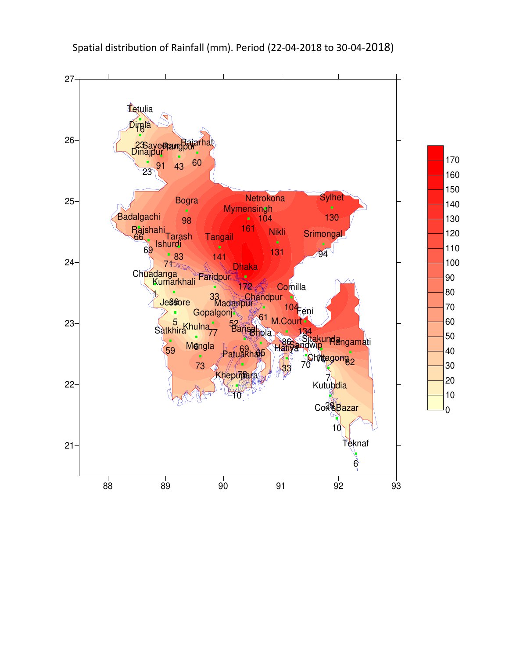

# Spatial distribution of Rainfall (mm). Period (22-04-2018 to 30-04-2018)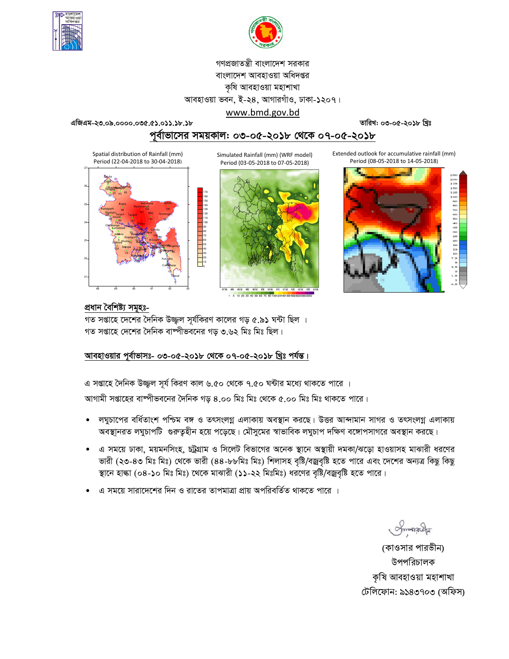



# গণপ্রজাতন্ত্রী বাংলাদেশ সরকার বাংলাদেশ আবহাওয়া অধিদপ্তর কৃষি আবহাওয়া মহাশাখা আবহাওয়া ভবন, ই-২৪, আগারগাঁও, ঢাকা-১২০৭।

এজিএম-২৩.০৯.০০০০.০৩৫.৫১.০১১.১৮.১৮

তারিখ: ০৩-০৫-২০১৮ খ্রিঃ

# পূর্বাভাসের সময়কাল: ০৩-০৫-২০১৮ থেকে ০৭-০৫-২০১৮

www.bmd.gov.bd

Spatial distribution of Rainfall (mm) Period (22-04-2018 to 30-04-2018)



Simulated Rainfall (mm) (WRF model) Period (03-05-2018 to 07-05-2018)



Extended outlook for accumulative rainfall (mm) Period (08-05-2018 to 14-05-2018)



# প্ৰধান বৈশিষ্ট্য সমূহঃ-

গত সপ্তাহে দেশের দৈনিক উজ্জ্বল সূর্যকিরণ কালের গড় ৫.৯১ ঘন্টা ছিল । গত সপ্তাহে দেশের দৈনিক বাষ্পীভবনের গড় ৩.৬২ মিঃ মিঃ ছিল।

## আবহাওয়ার পর্বাভাসঃ- ০৩-০৫-২০১৮ থেকে ০৭-০৫-২০১৮ খ্রিঃ পর্যন্ত।

এ সপ্তাহে দৈনিক উজ্জ্বল সূর্য কিরণ কাল ৬.৫০ থেকে ৭.৫০ ঘন্টার মধ্যে থাকতে পারে ।

আগামী সপ্তাহের বাষ্পীভবনের দৈনিক গড় ৪.০০ মিঃ মিঃ থেকে ৫.০০ মিঃ মিঃ থাকতে পারে।

- লঘুচাপের বর্ধিতাংশ পশ্চিম বঙ্গ ও তৎসংলগ্ন এলাকায় অবস্থান করছে। উত্তর আন্দামান সাগর ও তৎসংলগ্ন এলাকায় অবস্থানরত লঘুচাপটি গুরুতুহীন হয়ে পড়েছে। মৌসুমের স্বাভাবিক লঘুচাপ দক্ষিণ বঙ্গোপসাগরে অবস্থান করছে।
- এ সময়ে ঢাকা, ময়মনসিংহ, চট্রগ্রাম ও সিলেট বিভাগের অনেক স্থানে অস্থায়ী দমকা/ঝড়ো হাওয়াসহ মাঝারী ধরণের ভারী (২৩-৪৩ মিঃ মিঃ) থেকে ভারী (৪৪-৮৮মিঃ মিঃ) শিলাসহ বৃষ্টি/বজ্রবৃষ্টি হতে পারে এবং দেশের অন্যত্র কিছু কিছু স্থানে হাল্কা (০৪-১০ মিঃ মিঃ) থেকে মাঝারী (১১-২২ মিঃমিঃ) ধরণের বৃষ্টি/বজ্রবৃষ্টি হতে পারে।
- এ সময়ে সারাদেশের দিন ও রাতের তাপমাত্রা প্রায় অপরিবর্তিত থাকতে পারে ।

Smanach

(কাওসার পারভীন) উপপরিচালক কৃষি আবহাওয়া মহাশাখা টেলিফোন: ৯১৪৩৭০৩ (অফিস)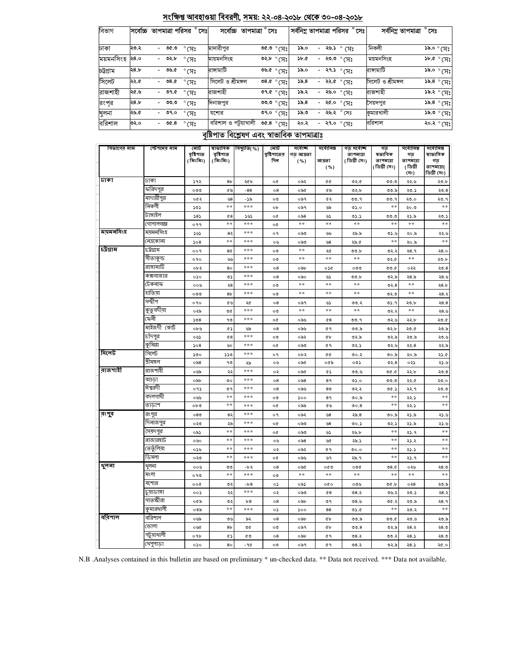| চট্টগ্ৰাম   | ২৪.৮ | ৩৬.৫                             | $\degree$ सि           | রাঙ্গামাটি            |                                             | $\overline{\text{Ob}}$ of $\sigma$ | ১৯.০              | $-$ ২৭.১ $^{\circ}$ সেঃ |                           | রাঙ্গামাটি                           |                                      | $~\rm{38.0~^\circ}$                         |
|-------------|------|----------------------------------|------------------------|-----------------------|---------------------------------------------|------------------------------------|-------------------|-------------------------|---------------------------|--------------------------------------|--------------------------------------|---------------------------------------------|
| সিলেট       | ২২.৫ | 08.0                             | $^{\circ}$ (সঃ         | সিলেট ও শ্ৰীমঙ্গল     |                                             | ৩৪.৫ $^{\circ}$ (সঃ                | 55.8              | $- 33.6$ $^{\circ}$ সেঃ |                           | সিলেট ও শ্ৰীমঙ্গল                    |                                      | ১৯.৪ $^{\circ}$ সেঃ                         |
| রাজশাহী     | ২৫.৬ | ৩৭.৫<br>$\overline{\phantom{0}}$ | $^{\circ}$ (সঃ         | রাজশাহী               |                                             | $\overline{\circ}$ 9.00            | ১৯.২              | - ২৬.০ ° সেঃ            |                           | রাজশাহী                              |                                      | ঃµ)° ۶.۵۷                                   |
| রংপর        | ২৪.৮ | ৩৩.৩                             | $\degree$ CA $\degree$ | দিনাজপুর              | <u>তত,৩ ° সেঃ</u>                           |                                    | 55.8              | - २ $\alpha$ .० ° (प्रः | সৈয়দপুর                  |                                      |                                      | ১৯.৪ $^{\circ}$ মিঃ                         |
| খুলনা       | ১.৬২ | 09.0                             | $^{\circ}$ (সঃ         | যশোর                  | ०१.० $^{\circ}$ (प्रः                       |                                    | ৩.৯১              | - ২৬.২ ° সেঃ            |                           | কুমারখালী                            |                                      | $\epsilon$ দ) $^{\circ}$ ৩.৫১               |
| বরিশাল      | ৩২.০ | 00.8<br>$\overline{\phantom{0}}$ | $\degree$ মে $\degree$ | বরিশাল ও পটুয়াখালী   |                                             | ত $6.8^\circ$ সেঃ                  | ২০.২              | - ২৭.০ ° সেঃ            |                           | বরিশাল                               |                                      | ংশ <sup>°</sup> ১০১                         |
|             |      |                                  |                        |                       | বৃষ্টিপাত বিশ্লেষণ এবং স্বাভাবিক তাপমাত্ৰাঃ |                                    |                   |                         |                           |                                      |                                      |                                             |
| বিভাগের নাম |      | স্টেশনের নাম                     | মোট                    | ষাভাবিক               | বিছ্যুতি( %)                                | মোট                                | সৰ্বোচ্ছ          | সৰ্বোনিম্ন              | গড় সৰ্বোচ্ছ              | গড                                   | সৰ্বোনিম্ন                           | সৰ্বোনিম্ন                                  |
|             |      |                                  | বৃষ্টিপাত<br>( মিঃমিঃ) | বৃষ্টিপাত<br>(মিঃমিঃ) |                                             | বৃষ্টিশাতের<br>দিন                 | গড আদ্রতা<br>( %) | আদ্ৰতা<br>( %)          | তাপমাত্রা<br>(ডিগ্ৰী সেঃ) | ষভাবিক<br>তাপমাত্রা<br>( ডিগ্ৰী সেঃ) | গড়<br>তাপমাত্রা<br>। ডিগ্ৰী<br>সেঃ) | ষাভাবিক<br>গড়<br>তাপমাত্রা(<br>ডিগ্ৰী সেঃ) |
| ঢাকা        |      | ঢাকা                             | ১৭২                    | 8 <sub>b</sub>        | ২৫৮                                         | o¢                                 | ০৯২               | œ                       | ৩২.৫                      | ৩৩.৩                                 | ২২.৬                                 | ২৩.৮                                        |
|             |      | ফরিদপুর                          | ০৩৩                    | ৫৯                    | $-88$                                       | $^{\circ8}$                        | ০৯৫               | ৫৯                      | ৩২.৮                      | ৩৩.৯                                 | ২৩.১                                 | ২৩.৪                                        |
|             |      | মাদারীপুর                        | ০৫২                    | $\mathcal{B}$         | -১৯                                         | ০৩                                 | ০৯৭               | ৫২                      | ৩৩.৭                      | ৩৩.৭                                 | ২৩.০                                 | ২৩.৭                                        |
|             |      | নিকলী                            | ১৩১                    | **                    | ***                                         | ob                                 | ০৯৭               | ৬৯                      | ৩১.০                      | **                                   | ২০.৩                                 | $**$                                        |
|             |      | টাঙ্গাইল                         | 585                    | 68                    | ১৬১                                         | o¢                                 | ০৯৪               | ৬১                      | ৩১.১                      | ৩৩.৩                                 | ২১.৯                                 | ২৩.১                                        |
|             |      | <b>গোপালগজ্ঞ</b>                 | ०११                    | **                    | ***                                         | o¢                                 | **                | **                      | $* *$                     | **                                   | **                                   | **                                          |
| ময়মনসিংহ   |      | মযমনসিংহ                         | ১৬১                    | 82                    | ***                                         | ०१                                 | ০৯৩               | ولين                    | ২৯.৯                      | ئ. ذه                                | ২০.৯                                 | ২২.৬                                        |
|             |      | নেত্ৰকোনা                        | 508                    | **                    | ***                                         | ০৬                                 | ০৯৩               | $\mathcal{B}$           | ২৯.৫                      | **                                   | ২০.৯                                 | $**$                                        |
| চট্টগ্রাম   |      | ঢট্টগ্ৰাম                        | 009                    | 8¢                    | ***                                         | ০৩                                 | $**$              | ২৫                      | ৩৩.৮                      | ৩২.২                                 | २8.१                                 | ২8.০                                        |
|             |      | সীতাকুন্ড                        | ०१०                    | وللمطا                | ***                                         | ০৩                                 | $**$              | $**$                    | $* *$                     | ৩২.৫                                 | $* *$                                | ২৩.৮                                        |
|             |      | রাঙ্গামাটি                       | ০৮২                    | 80                    | ***                                         | $\circ$ 8                          | ০৯৮               | ০১৫                     | ০৩৩                       | ৩৩.৫                                 | ০২২                                  | ২৩.৪                                        |
|             |      | কক্সবাজার                        | ०১०                    | ৩১                    | ***                                         | $\circ$ 8                          | ০৯০               | ৬১                      | ৩৩.৮                      | ৩২.৯                                 | ২৪.৯                                 | ২৪.৬                                        |
|             |      | টেকনাফ                           | ००७                    | ২8                    | ***                                         | ০৩                                 | **                | **                      | $* *$                     | 02.8                                 | $* *$                                | 28.5                                        |
|             |      | হাতিয়া                          | ০৩৩                    | 8 <sub>b</sub>        | ***                                         | ০৩                                 | **                | $**$                    | **                        | ৩২.৩                                 | $* *$                                | ২৪.২                                        |
|             |      | সন্দ্বীপ                         | ०१०                    | ৫৬                    | ২৫                                          | $\circ$ 8                          | ০৯৭               | ৬১                      | ৩৩.২                      | ৩১.৭                                 | ২৩.৮                                 | 28.8                                        |
|             |      | কুতুবদীয়া                       | ০২৯                    | ৩৫                    | ***                                         | ০৩                                 | **                | **                      | $* *$                     | ৩২.২                                 | **                                   | ২৪.৬                                        |
|             |      | কেনী                             | 508                    | ۹৩                    | ***                                         | o¢                                 | ০৯৬               | 68                      | ৩৩.৭                      | ৩২.৬                                 | ২২.৮                                 | ২৩.৫                                        |
|             |      | মাইজদী কোর্ট                     | $ob$ ৬                 | ৫১                    | ৬৯                                          | $\circ$ 8                          | ০৯৬               | 69                      | ৩৩.৯                      | ৩২.৮                                 | ২৩.৫                                 | ২৩.৯                                        |
|             |      | চাঁদপুর                          | ০৬১                    | 68                    | ***                                         | ০৩                                 | ০৯২               | ¢Ъ                      | ৩২.৯                      | ৩২.৯                                 | ২৩.৯                                 | ২৩.৬                                        |
|             |      | কমিল্লা                          | 508                    | ৬০                    | ***                                         | oQ                                 | ಂಎಲ               | 69                      | د ده                      | ی ډه                                 | 22.8                                 | ২২.৯                                        |

সংক্ষিপ্ত আবহাওয়া বিবরণী, সময়: ২২-০৪-২০১৮ থেকে ৩০-০৪-২০১৮

 $\sqrt[3]{6}$  o. so

<u>०२.৮ ° (प्रः</u>

সর্বনিম্ন তাপমাত্রা পরিসর ° সেঃ

- २७.১  $^{\circ}$  (प्रः

<u>- ২৩.৩ ° সেঃ</u>

 $290$ 

 $3b.0$ 

সর্বনিম্ন তাপমাত্রা ° সেঃ

২০.৯

০২১

২২.৮

২২.৫

২২.৭

 $\sim$ 

২২.১

২১.৯

২১.৯

২১.৭

২১.২

২১.১

 $25.9$ 

০২৬

 $\ast\ast$ 

०২ $8\,$ 

২৩.১

২৩.৯

২৩.২

২৩.৬

২৪.২

 $28.5$ 

২৪.১

ು.

৩২.৪

 $0.90$ 

 $00.5$ 

৩৫.১

 $**$ 

 $**$ 

৩০.৯

ত২.১

\*\*

 $*$ 

 $**$ 

 $**$ 

 $08.0$ 

 $0$ 

৩৬.২

 $00.5$ 

৩৩.৫

৩২.৯

৩৩.২

৩২.৯

 $\ast\ast$ 

 $**$ 

২১.৫

23.3

২৩. $8$ 

২৩.০

২৩.৩

 $**$ 

 $**$ 

২১.৬

২১.৬

 $\ast\ast$ 

 $\ast\ast$ 

 $**$ 

 $**$ 

২ $8, \circ$ 

 $**$ 

২৩.৯

২৪.২

২8.9

\*\*

২৩.৯

২ $8, \circ$ 

২ $8, \circ$ 

২৫.০

নিকলী

ময়মনসিংহ

১৯.০ $^{\circ}$ মেঃ

 $\overline{\text{SPO}_\circ \text{O}(\text{H})}$ 

সৰ্বেচ্চ তাপমাত্ৰা ° সেঃ

মাদারীপুর

মায়মনসিংহ

বিভাগ

ঢাকা

সিলেট

রাজশাহী

রংপুর

शूनना

বরিশাল

সিলেট

শ্ৰীমঙ্গল

ৰগুড়া

ঈশ্বরদী

বদলগাঘী

তাডাশ

রংপুর

দিনাজপুর

সৈয়দপুর

রাজারহাট

ভেতুঁলিয়া

ডিমলা

शूलना

মংলা

যশোর

চুয়াডাঙ্গা

সাতক্ষীরা

কুমারথালী

পটুয়াথালী

থেপুণাড়া

বরিশাল

ভোলা

রাজশাহী

 $500$ 

 $\circ$ ৯৪

০৬৯

০৯৮

 $095$ 

 $\omega$ 

 $\circ\mathtt{b}\mathtt{\circ}$ 

 $^{\circ8\circ}$ 

০২৩

০৯১

০৬০

०১৬

০২৩

০০৬

 $\circ \circ$ 

००৫

 $00\lambda$ 

০৫৯

০৩৯

০৬৯

০৬৫

०१৮

 $\circ \circ$ 

ময়মনসিংহ ২৪.০

২৩.২

সর্বোচ্চ তাপমাত্রা পরিসর ° সেঃ

 $-000 -$ 

 $\frac{1}{\sqrt{2}}$  os  $\frac{1}{\sqrt{2}}$  .

 $^{\circ}$ সেঃ

|  |  |  |  |  | N.B. Analyses contained in this bulletin are based on preliminary * un-checked data, ** Data not received, *** Data not available. |
|--|--|--|--|--|------------------------------------------------------------------------------------------------------------------------------------|
|--|--|--|--|--|------------------------------------------------------------------------------------------------------------------------------------|

 $***$ 

২৯

 $***$ 

 $***$ 

 $***$ 

 $***$ 

\*\*\*

 $***$ 

 $***$ 

 $***$ 

 $***$ 

 $***$ 

\*\*\*

 $-b<sub>2</sub>$ 

\*\*\*

 $-b<sub>6</sub>$ 

 $***$ 

 $^{\rm b8}$ 

 $***$ 

৯২

৩৫

 $\mathfrak{C}$ 

-90

 $550$ 

৭৩

 $\lambda$ 

 $\circ$ 

 $\mathfrak{g}$ 

 $\ast\ast$ 

 $\ast\ast$ 

 $85$ 

২৯

 $***$ 

 $**$ 

\*\*

\*\*

 $\circ$ 

\*\*

৩২

 $\frac{1}{2}$ 

৩২

\*\*

৩৬

86

¢۵

80

০৮২

০৯৫

০৯৫

 $\circ$ ৯৪

৽৯৬

 $\mathcal{S}^{\circ}$ 

০৯৯

০৯২

ಂನಿಂ

ಂನಿಂ

ಂ $\delta$ 8

০৯২

০৯৬

 $\frac{1}{26}$ 

 $\ast\ast$ 

 $\frac{1}{60}$ 

ಂನಿಂ

০৯৮

 $500$ 

০৯৮

০৯৭

০৯৮

০৯৭

 $Q$ 

০৫৯

GS

 $89$ 

 $80\,$ 

 $89$ 

 $\mathcal{O} \mathfrak{d}$ 

 $\mathbb{S}\mathcal{O}$ 

 $\mathbb{S}\mathcal{O}$ 

 $\mathsf{S}$ 

 $\mathsf{M}$ 

 $\ell$  9

৬৭

০৫৩

 $\ast\ast$ 

o¢o

 $Q$ 8

৩৭

88

 $\hat{\mathfrak{C}}$ 

 $\hat{\mathfrak{C}}$ 

 $\hat{\alpha}$ ۹

 $\ell$ ۹

৩০.২

০৩১

 $\circ \circ \cdot \circ$ 

 $05.0$ 

७२.२

 $00.5$ 

 $00.8$ 

২৯.৪

৩০.১

২৬.৮

২৯.১

ುಂ.

২৯.৭

 $000$ 

 $\ast\ast$ 

০৩৬

৩৪.২

 $08.6$ 

 $0.6$ 

৩৩.৯

ಲಿಲಿ. $8$ 

৩৪.২

৩৪.২

 $\circ$  9

০৬

০২

 $\circ$ 8

 $\overline{\circ 8}$ 

 $\mathbf{e}$ 

 $\delta \circ$ 

 $\mathsf{O} \: \mathsf{Q}$ 

 $\circ$   $\circ$ 

 $\circ\sigma$ 

০৬

 $\circ$ 

 $\circ \mathfrak{e}$ 

 $^{\circ8}$ 

 $\circ$ 

 $\circ$ 

 $\circ \circ$ 

 $_{\circ8}$ 

০১

 $^{\circ8}$ 

 $\circ$ 

 $^{\circ8}$ 

 $\circ$